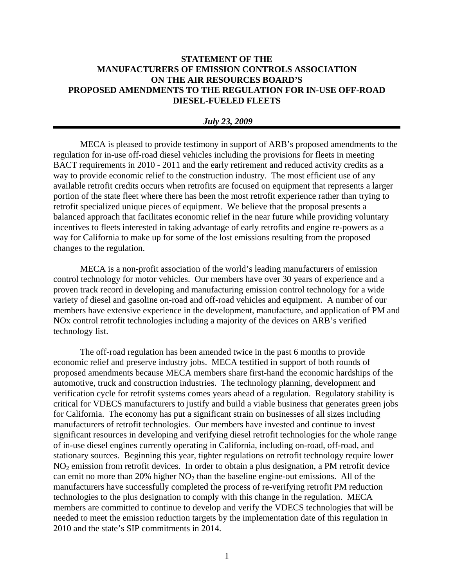## **STATEMENT OF THE MANUFACTURERS OF EMISSION CONTROLS ASSOCIATION ON THE AIR RESOURCES BOARD'S PROPOSED AMENDMENTS TO THE REGULATION FOR IN-USE OFF-ROAD DIESEL-FUELED FLEETS**

## *July 23, 2009*

MECA is pleased to provide testimony in support of ARB's proposed amendments to the regulation for in-use off-road diesel vehicles including the provisions for fleets in meeting BACT requirements in 2010 - 2011 and the early retirement and reduced activity credits as a way to provide economic relief to the construction industry. The most efficient use of any available retrofit credits occurs when retrofits are focused on equipment that represents a larger portion of the state fleet where there has been the most retrofit experience rather than trying to retrofit specialized unique pieces of equipment. We believe that the proposal presents a balanced approach that facilitates economic relief in the near future while providing voluntary incentives to fleets interested in taking advantage of early retrofits and engine re-powers as a way for California to make up for some of the lost emissions resulting from the proposed changes to the regulation.

MECA is a non-profit association of the world's leading manufacturers of emission control technology for motor vehicles. Our members have over 30 years of experience and a proven track record in developing and manufacturing emission control technology for a wide variety of diesel and gasoline on-road and off-road vehicles and equipment. A number of our members have extensive experience in the development, manufacture, and application of PM and NOx control retrofit technologies including a majority of the devices on ARB's verified technology list.

The off-road regulation has been amended twice in the past 6 months to provide economic relief and preserve industry jobs. MECA testified in support of both rounds of proposed amendments because MECA members share first-hand the economic hardships of the automotive, truck and construction industries. The technology planning, development and verification cycle for retrofit systems comes years ahead of a regulation. Regulatory stability is critical for VDECS manufacturers to justify and build a viable business that generates green jobs for California. The economy has put a significant strain on businesses of all sizes including manufacturers of retrofit technologies. Our members have invested and continue to invest significant resources in developing and verifying diesel retrofit technologies for the whole range of in-use diesel engines currently operating in California, including on-road, off-road, and stationary sources. Beginning this year, tighter regulations on retrofit technology require lower NO<sub>2</sub> emission from retrofit devices. In order to obtain a plus designation, a PM retrofit device can emit no more than  $20\%$  higher  $NO<sub>2</sub>$  than the baseline engine-out emissions. All of the manufacturers have successfully completed the process of re-verifying retrofit PM reduction technologies to the plus designation to comply with this change in the regulation. MECA members are committed to continue to develop and verify the VDECS technologies that will be needed to meet the emission reduction targets by the implementation date of this regulation in 2010 and the state's SIP commitments in 2014.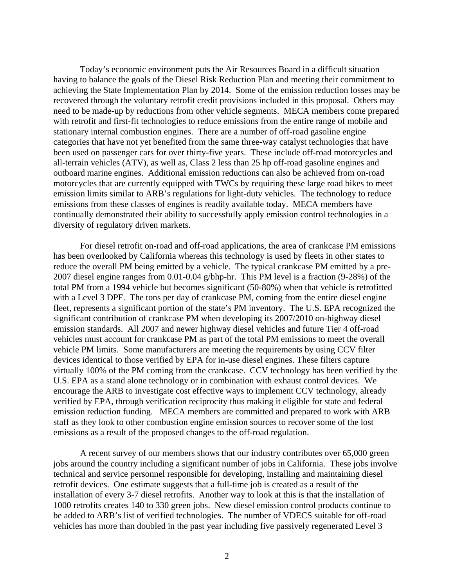Today's economic environment puts the Air Resources Board in a difficult situation having to balance the goals of the Diesel Risk Reduction Plan and meeting their commitment to achieving the State Implementation Plan by 2014. Some of the emission reduction losses may be recovered through the voluntary retrofit credit provisions included in this proposal. Others may need to be made-up by reductions from other vehicle segments. MECA members come prepared with retrofit and first-fit technologies to reduce emissions from the entire range of mobile and stationary internal combustion engines. There are a number of off-road gasoline engine categories that have not yet benefited from the same three-way catalyst technologies that have been used on passenger cars for over thirty-five years. These include off-road motorcycles and all-terrain vehicles (ATV), as well as, Class 2 less than 25 hp off-road gasoline engines and outboard marine engines. Additional emission reductions can also be achieved from on-road motorcycles that are currently equipped with TWCs by requiring these large road bikes to meet emission limits similar to ARB's regulations for light-duty vehicles. The technology to reduce emissions from these classes of engines is readily available today. MECA members have continually demonstrated their ability to successfully apply emission control technologies in a diversity of regulatory driven markets.

For diesel retrofit on-road and off-road applications, the area of crankcase PM emissions has been overlooked by California whereas this technology is used by fleets in other states to reduce the overall PM being emitted by a vehicle. The typical crankcase PM emitted by a pre-2007 diesel engine ranges from 0.01-0.04 g/bhp-hr. This PM level is a fraction (9-28%) of the total PM from a 1994 vehicle but becomes significant (50-80%) when that vehicle is retrofitted with a Level 3 DPF. The tons per day of crankcase PM, coming from the entire diesel engine fleet, represents a significant portion of the state's PM inventory. The U.S. EPA recognized the significant contribution of crankcase PM when developing its 2007/2010 on-highway diesel emission standards. All 2007 and newer highway diesel vehicles and future Tier 4 off-road vehicles must account for crankcase PM as part of the total PM emissions to meet the overall vehicle PM limits. Some manufacturers are meeting the requirements by using CCV filter devices identical to those verified by EPA for in-use diesel engines. These filters capture virtually 100% of the PM coming from the crankcase. CCV technology has been verified by the U.S. EPA as a stand alone technology or in combination with exhaust control devices. We encourage the ARB to investigate cost effective ways to implement CCV technology, already verified by EPA, through verification reciprocity thus making it eligible for state and federal emission reduction funding. MECA members are committed and prepared to work with ARB staff as they look to other combustion engine emission sources to recover some of the lost emissions as a result of the proposed changes to the off-road regulation.

A recent survey of our members shows that our industry contributes over 65,000 green jobs around the country including a significant number of jobs in California. These jobs involve technical and service personnel responsible for developing, installing and maintaining diesel retrofit devices. One estimate suggests that a full-time job is created as a result of the installation of every 3-7 diesel retrofits. Another way to look at this is that the installation of 1000 retrofits creates 140 to 330 green jobs. New diesel emission control products continue to be added to ARB's list of verified technologies. The number of VDECS suitable for off-road vehicles has more than doubled in the past year including five passively regenerated Level 3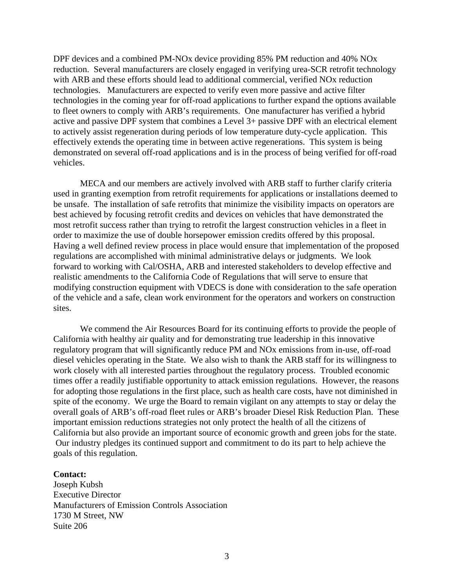DPF devices and a combined PM-NOx device providing 85% PM reduction and 40% NOx reduction. Several manufacturers are closely engaged in verifying urea-SCR retrofit technology with ARB and these efforts should lead to additional commercial, verified NOx reduction technologies. Manufacturers are expected to verify even more passive and active filter technologies in the coming year for off-road applications to further expand the options available to fleet owners to comply with ARB's requirements. One manufacturer has verified a hybrid active and passive DPF system that combines a Level 3+ passive DPF with an electrical element to actively assist regeneration during periods of low temperature duty-cycle application. This effectively extends the operating time in between active regenerations. This system is being demonstrated on several off-road applications and is in the process of being verified for off-road vehicles.

MECA and our members are actively involved with ARB staff to further clarify criteria used in granting exemption from retrofit requirements for applications or installations deemed to be unsafe. The installation of safe retrofits that minimize the visibility impacts on operators are best achieved by focusing retrofit credits and devices on vehicles that have demonstrated the most retrofit success rather than trying to retrofit the largest construction vehicles in a fleet in order to maximize the use of double horsepower emission credits offered by this proposal. Having a well defined review process in place would ensure that implementation of the proposed regulations are accomplished with minimal administrative delays or judgments. We look forward to working with Cal/OSHA, ARB and interested stakeholders to develop effective and realistic amendments to the California Code of Regulations that will serve to ensure that modifying construction equipment with VDECS is done with consideration to the safe operation of the vehicle and a safe, clean work environment for the operators and workers on construction sites.

We commend the Air Resources Board for its continuing efforts to provide the people of California with healthy air quality and for demonstrating true leadership in this innovative regulatory program that will significantly reduce PM and NOx emissions from in-use, off-road diesel vehicles operating in the State. We also wish to thank the ARB staff for its willingness to work closely with all interested parties throughout the regulatory process. Troubled economic times offer a readily justifiable opportunity to attack emission regulations. However, the reasons for adopting those regulations in the first place, such as health care costs, have not diminished in spite of the economy. We urge the Board to remain vigilant on any attempts to stay or delay the overall goals of ARB's off-road fleet rules or ARB's broader Diesel Risk Reduction Plan. These important emission reductions strategies not only protect the health of all the citizens of California but also provide an important source of economic growth and green jobs for the state. Our industry pledges its continued support and commitment to do its part to help achieve the goals of this regulation.

## **Contact:**

Joseph Kubsh Executive Director Manufacturers of Emission Controls Association 1730 M Street, NW Suite 206